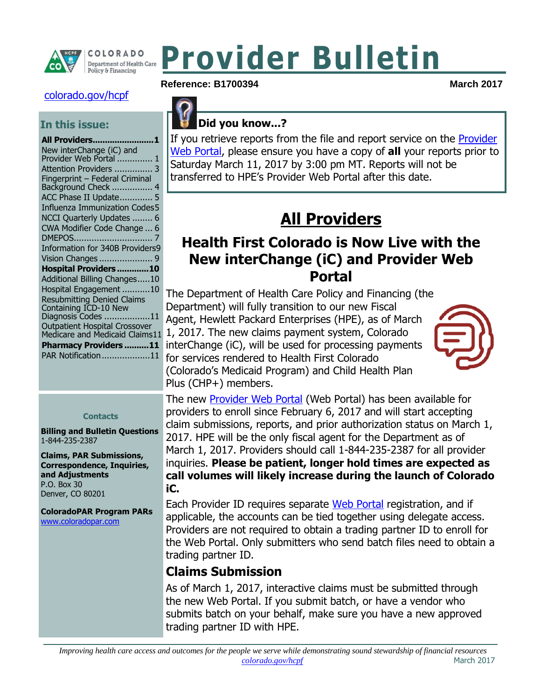

# **Provider Bulletin**

#### [colorado.gov/hcpf](http://www.colorado.gov/hcpf)

#### **In this issue:**

#### **Contacts**

**Billing and Bulletin Questions** 1-844-235-2387

**Claims, PAR Submissions, Correspondence, Inquiries, and Adjustments** P.O. Box 30 Denver, CO 80201

**ColoradoPAR Program PARs**  [www.coloradopar.com](http://www.coloradopar.com/)

#### **Reference: B1700394 March 2017**



#### **Did you know...?**

If you retrieve reports from the file and report service on the [Provider](https://sp0.hcpf.state.co.us/Mercury/login.aspx)  [Web Portal,](https://sp0.hcpf.state.co.us/Mercury/login.aspx) please ensure you have a copy of **all** your reports prior to Saturday March 11, 2017 by 3:00 pm MT. Reports will not be transferred to HPE's Provider Web Portal after this date.

# **All Providers**

## <span id="page-0-1"></span><span id="page-0-0"></span>**Health First Colorado is Now Live with the New interChange (iC) and Provider Web Portal**

The Department of Health Care Policy and Financing (the Department) will fully transition to our new Fiscal Agent, Hewlett Packard Enterprises (HPE), as of March 1, 2017. The new claims payment system, Colorado interChange (iC), will be used for processing payments for services rendered to Health First Colorado (Colorado's Medicaid Program) and Child Health Plan Plus (CHP+) members.



The new [Provider Web](https://sp0.hcpf.state.co.us/Mercury/login.aspx) Portal (Web Portal) has been available for providers to enroll since February 6, 2017 and will start accepting claim submissions, reports, and prior authorization status on March 1, 2017. HPE will be the only fiscal agent for the Department as of March 1, 2017. Providers should call 1-844-235-2387 for all provider inquiries. **Please be patient, longer hold times are expected as call volumes will likely increase during the launch of Colorado iC.**

Each Provider ID requires separate [Web Portal](https://sp0.hcpf.state.co.us/Mercury/login.aspx) registration, and if applicable, the accounts can be tied together using delegate access. Providers are not required to obtain a trading partner ID to enroll for the Web Portal. Only submitters who send batch files need to obtain a trading partner ID.

#### **Claims Submission**

As of March 1, 2017, interactive claims must be submitted through the new Web Portal. If you submit batch, or have a vendor who submits batch on your behalf, make sure you have a new approved trading partner ID with HPE.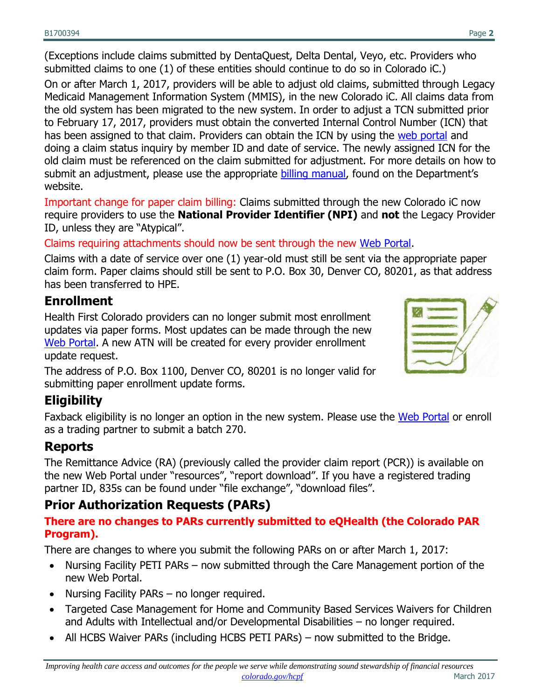(Exceptions include claims submitted by DentaQuest, Delta Dental, Veyo, etc. Providers who submitted claims to one (1) of these entities should continue to do so in Colorado iC.)

On or after March 1, 2017, providers will be able to adjust old claims, submitted through Legacy Medicaid Management Information System (MMIS), in the new Colorado iC. All claims data from the old system has been migrated to the new system. In order to adjust a TCN submitted prior to February 17, 2017, providers must obtain the converted Internal Control Number (ICN) that has been assigned to that claim. Providers can obtain the ICN by using the [web portal](https://colorado-hcp-portal.xco.dcs-usps.com/hcp/provider/Home/tabid/135/Default.aspx) and doing a claim status inquiry by member ID and date of service. The newly assigned ICN for the old claim must be referenced on the claim submitted for adjustment. For more details on how to submit an adjustment, please use the appropriate [billing manual,](https://www.colorado.gov/hcpf/billing-manuals) found on the Department's website.

Important change for paper claim billing: Claims submitted through the new Colorado iC now require providers to use the **National Provider Identifier (NPI)** and **not** the Legacy Provider ID, unless they are "Atypical".

Claims requiring attachments should now be sent through the new [Web Portal.](https://colorado-hcp-portal.xco.dcs-usps.com/hcp/provider/Home/tabid/135/Default.aspx)

Claims with a date of service over one (1) year-old must still be sent via the appropriate paper claim form. Paper claims should still be sent to P.O. Box 30, Denver CO, 80201, as that address has been transferred to HPE.

#### **Enrollment**

Health First Colorado providers can no longer submit most enrollment updates via paper forms. Most updates can be made through the new [Web Portal.](https://colorado-hcp-portal.xco.dcs-usps.com/hcp/provider/Home/tabid/135/Default.aspx) A new ATN will be created for every provider enrollment update request.

The address of P.O. Box 1100, Denver CO, 80201 is no longer valid for submitting paper enrollment update forms.

# **Eligibility**

Faxback eligibility is no longer an option in the new system. Please use the [Web Portal](https://colorado-hcp-portal.xco.dcs-usps.com/hcp/provider/Home/tabid/135/Default.aspx) or enroll as a trading partner to submit a batch 270.

#### **Reports**

The Remittance Advice (RA) (previously called the provider claim report (PCR)) is available on the new Web Portal under "resources", "report download". If you have a registered trading partner ID, 835s can be found under "file exchange", "download files".

#### **Prior Authorization Requests (PARs)**

#### **There are no changes to PARs currently submitted to eQHealth (the Colorado PAR Program).**

There are changes to where you submit the following PARs on or after March 1, 2017:

- Nursing Facility PETI PARs now submitted through the Care Management portion of the new Web Portal.
- Nursing Facility PARs no longer required.
- Targeted Case Management for Home and Community Based Services Waivers for Children and Adults with Intellectual and/or Developmental Disabilities – no longer required.
- All HCBS Waiver PARs (including HCBS PETI PARs) now submitted to the Bridge.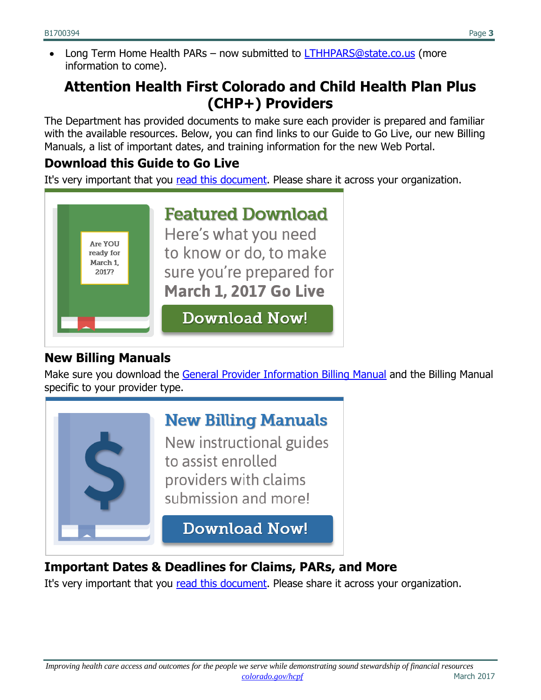Long Term Home Health PARs – now submitted to **LTHHPARS@state.co.us** (more information to come).

# <span id="page-2-0"></span>**Attention Health First Colorado and Child Health Plan Plus (CHP+) Providers**

The Department has provided documents to make sure each provider is prepared and familiar with the available resources. Below, you can find links to our Guide to Go Live, our new Billing Manuals, a list of important dates, and training information for the new Web Portal.

#### **Download this Guide to Go Live**

It's very important that you [read this document.](https://drive.google.com/file/d/0ByTJ5EpY6wocdVBfdW8yNWM0TlU/view) Please share it across your organization.



#### **New Billing Manuals**

Make sure you download the [General Provider Information Billing Manual](https://drive.google.com/file/d/0ByTJ5EpY6wocRFBPb1AwR202VnM/view) and the Billing Manual specific to your provider type.



#### **Important Dates & Deadlines for Claims, PARs, and More**

It's very important that you [read this document.](https://drive.google.com/file/d/0ByTJ5EpY6wocb29vdFFYSVRXQW8/view) Please share it across your organization.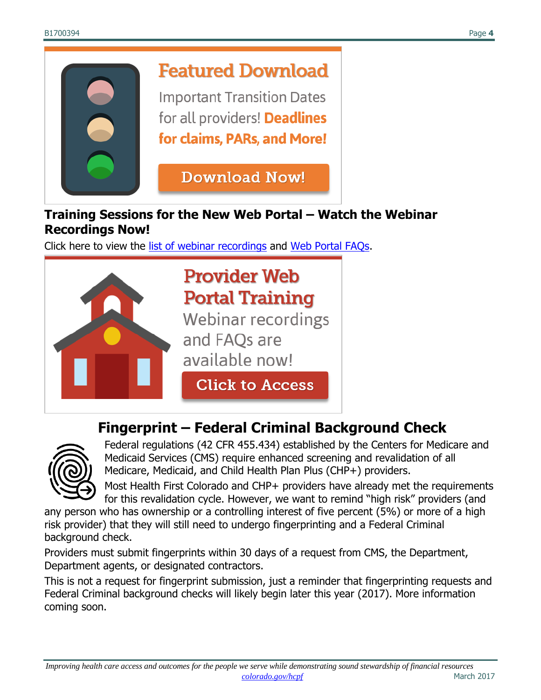

#### **Training Sessions for the New Web Portal – Watch the Webinar Recordings Now!**

Click here to view the [list of webinar recordings](https://drive.google.com/file/d/0ByTJ5EpY6wocUDN3NHZWdUVEQ1U/view) and [Web Portal FAQs.](https://www.colorado.gov/hcpf/web-portal)



# <span id="page-3-0"></span>**Fingerprint – Federal Criminal Background Check**



Federal regulations (42 CFR 455.434) established by the Centers for Medicare and Medicaid Services (CMS) require enhanced screening and revalidation of all Medicare, Medicaid, and Child Health Plan Plus (CHP+) providers.

Most Health First Colorado and CHP+ providers have already met the requirements for this revalidation cycle. However, we want to remind "high risk" providers (and

any person who has ownership or a controlling interest of five percent (5%) or more of a high risk provider) that they will still need to undergo fingerprinting and a Federal Criminal background check.

Providers must submit fingerprints within 30 days of a request from CMS, the Department, Department agents, or designated contractors.

This is not a request for fingerprint submission, just a reminder that fingerprinting requests and Federal Criminal background checks will likely begin later this year (2017). More information coming soon.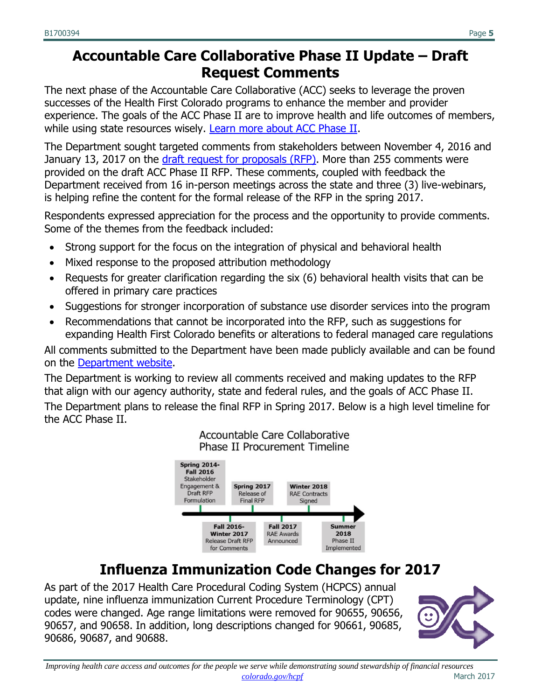# <span id="page-4-0"></span>**Accountable Care Collaborative Phase II Update – Draft Request Comments**

The next phase of the Accountable Care Collaborative (ACC) seeks to leverage the proven successes of the Health First Colorado programs to enhance the member and provider experience. The goals of the ACC Phase II are to improve health and life outcomes of members, while using state resources wisely. [Learn more about ACC Phase II.](http://www.colorado.gov/hcpf/accphase2)

The Department sought targeted comments from stakeholders between November 4, 2016 and January 13, 2017 on the [draft request for proposals \(RFP\).](https://www.colorado.gov/pacific/sites/default/files/ACC%20RFP%20Public%20Draft.pdf) More than 255 comments were provided on the draft ACC Phase II RFP. These comments, coupled with feedback the Department received from 16 in-person meetings across the state and three (3) live-webinars, is helping refine the content for the formal release of the RFP in the spring 2017.

Respondents expressed appreciation for the process and the opportunity to provide comments. Some of the themes from the feedback included:

- Strong support for the focus on the integration of physical and behavioral health
- Mixed response to the proposed attribution methodology
- Requests for greater clarification regarding the six (6) behavioral health visits that can be offered in primary care practices
- Suggestions for stronger incorporation of substance use disorder services into the program
- Recommendations that cannot be incorporated into the RFP, such as suggestions for expanding Health First Colorado benefits or alterations to federal managed care regulations

All comments submitted to the Department have been made publicly available and can be found on the [Department website.](https://www.colorado.gov/hcpf/accphase2)

The Department is working to review all comments received and making updates to the RFP that align with our agency authority, state and federal rules, and the goals of ACC Phase II. The Department plans to release the final RFP in Spring 2017. Below is a high level timeline for the ACC Phase II.

Accountable Care Collaborative



# **Influenza Immunization Code Changes for 2017**

<span id="page-4-1"></span>As part of the 2017 Health Care Procedural Coding System (HCPCS) annual update, nine influenza immunization Current Procedure Terminology (CPT) codes were changed. Age range limitations were removed for 90655, 90656, 90657, and 90658. In addition, long descriptions changed for 90661, 90685, 90686, 90687, and 90688.

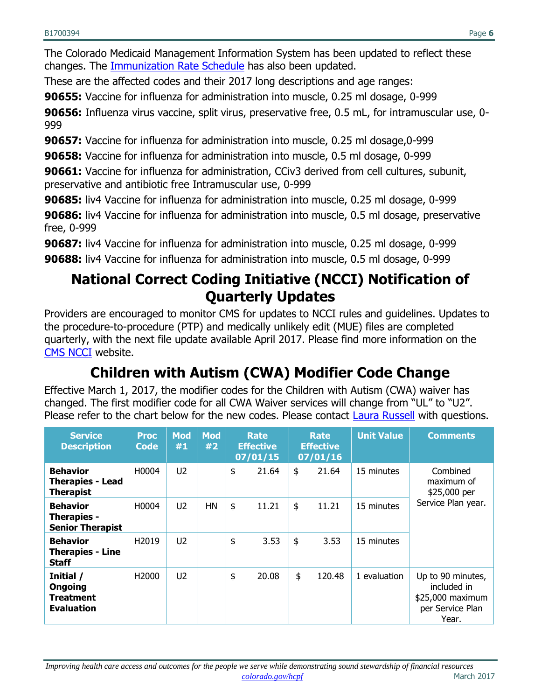The Colorado Medicaid Management Information System has been updated to reflect these changes. The [Immunization Rate Schedule](https://www.colorado.gov/pacific/sites/default/files/Immunizations_FY2016-17.pdf) has also been updated.

These are the affected codes and their 2017 long descriptions and age ranges:

**90655:** Vaccine for influenza for administration into muscle, 0.25 ml dosage, 0-999

**90656:** Influenza virus vaccine, split virus, preservative free, 0.5 mL, for intramuscular use, 0- 999

**90657:** Vaccine for influenza for administration into muscle, 0.25 ml dosage,0-999

**90658:** Vaccine for influenza for administration into muscle, 0.5 ml dosage, 0-999

**90661:** Vaccine for influenza for administration, CCiv3 derived from cell cultures, subunit, preservative and antibiotic free Intramuscular use, 0-999

**90685:** liv4 Vaccine for influenza for administration into muscle, 0.25 ml dosage, 0-999

**90686:** liv4 Vaccine for influenza for administration into muscle, 0.5 ml dosage, preservative free, 0-999

**90687:** liv4 Vaccine for influenza for administration into muscle, 0.25 ml dosage, 0-999

<span id="page-5-0"></span>**90688:** liv4 Vaccine for influenza for administration into muscle, 0.5 ml dosage, 0-999

# **National Correct Coding Initiative (NCCI) Notification of Quarterly Updates**

Providers are encouraged to monitor CMS for updates to NCCI rules and guidelines. Updates to the procedure-to-procedure (PTP) and medically unlikely edit (MUE) files are completed quarterly, with the next file update available April 2017. Please find more information on the [CMS NCCI](http://www.medicaid.gov/Medicaid-CHIP-Program-Information/By-Topics/Data-and-Systems/National-Correct-Coding-Initiative.html) website.

# **Children with Autism (CWA) Modifier Code Change**

<span id="page-5-1"></span>Effective March 1, 2017, the modifier codes for the Children with Autism (CWA) waiver has changed. The first modifier code for all CWA Waiver services will change from "UL" to "U2". Please refer to the chart below for the new codes. Please contact [Laura Russell](mailto:Laura.Russell@state.co.us) with questions.

| <b>Service</b><br><b>Description</b>                           | <b>Proc</b><br>Code | <b>Mod</b><br>#1 | <b>Mod</b><br>#2 | <b>Rate</b><br><b>Effective</b><br>07/01/15 | <b>Rate</b><br><b>Effective</b><br>07/01/16 | <b>Unit Value</b> | <b>Comments</b>                                                                   |
|----------------------------------------------------------------|---------------------|------------------|------------------|---------------------------------------------|---------------------------------------------|-------------------|-----------------------------------------------------------------------------------|
| <b>Behavior</b><br><b>Therapies - Lead</b><br><b>Therapist</b> | H0004               | U <sub>2</sub>   |                  | \$<br>21.64                                 | \$<br>21.64                                 | 15 minutes        | Combined<br>maximum of<br>\$25,000 per                                            |
| <b>Behavior</b><br>Therapies -<br><b>Senior Therapist</b>      | H0004               | U <sub>2</sub>   | <b>HN</b>        | \$<br>11.21                                 | \$<br>11.21                                 | 15 minutes        | Service Plan year.                                                                |
| <b>Behavior</b><br><b>Therapies - Line</b><br><b>Staff</b>     | H <sub>2019</sub>   | U <sub>2</sub>   |                  | \$<br>3.53                                  | \$<br>3.53                                  | 15 minutes        |                                                                                   |
| Initial /<br>Ongoing<br><b>Treatment</b><br><b>Evaluation</b>  | H <sub>2000</sub>   | U2               |                  | \$<br>20.08                                 | \$<br>120.48                                | 1 evaluation      | Up to 90 minutes,<br>included in<br>\$25,000 maximum<br>per Service Plan<br>Year. |

*Improving health care access and outcomes for the people we serve while demonstrating sound stewardship of financial resources [colorado.gov/hcpf](http://colorado.gov/hcpf)* March 2017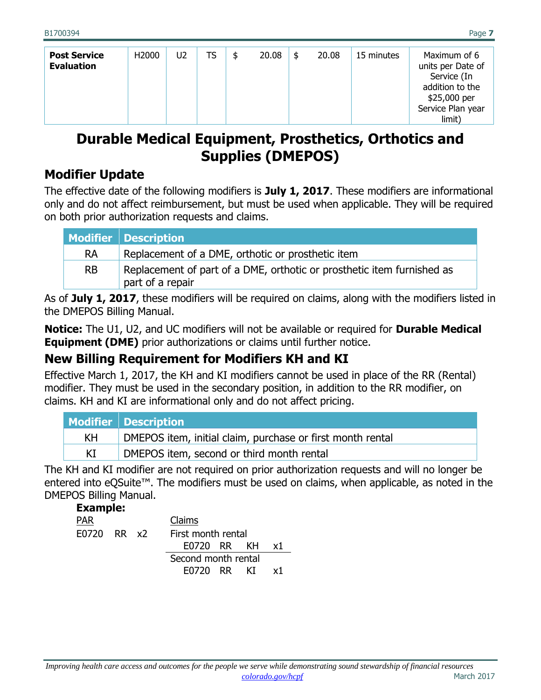| <b>Post Service</b><br><b>Evaluation</b> | H <sub>2000</sub> | U2 | TS | \$<br>20.08 | \$<br>20.08 | 15 minutes | Maximum of 6<br>units per Date of<br>Service (In<br>addition to the |
|------------------------------------------|-------------------|----|----|-------------|-------------|------------|---------------------------------------------------------------------|
|                                          |                   |    |    |             |             |            | \$25,000 per<br>Service Plan year<br>limit)                         |

# <span id="page-6-0"></span>**Durable Medical Equipment, Prosthetics, Orthotics and Supplies (DMEPOS)**

#### **Modifier Update**

The effective date of the following modifiers is **July 1, 2017**. These modifiers are informational only and do not affect reimbursement, but must be used when applicable. They will be required on both prior authorization requests and claims.

|           | <b>Modifier   Description</b>                                                              |
|-----------|--------------------------------------------------------------------------------------------|
| <b>RA</b> | Replacement of a DME, orthotic or prosthetic item                                          |
| <b>RB</b> | Replacement of part of a DME, orthotic or prosthetic item furnished as<br>part of a repair |

As of **July 1, 2017**, these modifiers will be required on claims, along with the modifiers listed in the DMEPOS Billing Manual.

**Notice:** The U1, U2, and UC modifiers will not be available or required for **Durable Medical Equipment (DME)** prior authorizations or claims until further notice.

#### **New Billing Requirement for Modifiers KH and KI**

Effective March 1, 2017, the KH and KI modifiers cannot be used in place of the RR (Rental) modifier. They must be used in the secondary position, in addition to the RR modifier, on claims. KH and KI are informational only and do not affect pricing.

|    | Modifier   Description                                     |
|----|------------------------------------------------------------|
| KH | DMEPOS item, initial claim, purchase or first month rental |
| ΚI | DMEPOS item, second or third month rental                  |

The KH and KI modifier are not required on prior authorization requests and will no longer be entered into eQSuite™. The modifiers must be used on claims, when applicable, as noted in the DMEPOS Billing Manual.

| <b>Example:</b> |  |                     |
|-----------------|--|---------------------|
| PAR             |  | Claims              |
| E0720 RR x2     |  | First month rental  |
|                 |  | E0720 RR KH<br>х1   |
|                 |  | Second month rental |
|                 |  | F0720 RR<br>КT      |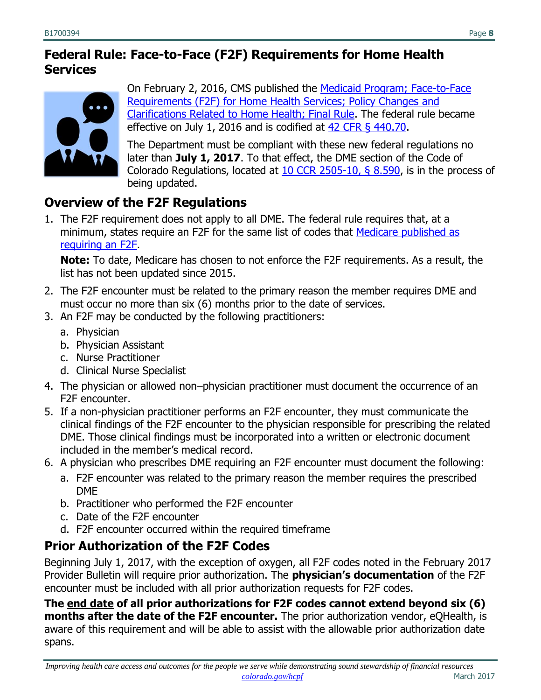#### **Federal Rule: Face-to-Face (F2F) Requirements for Home Health Services**



On February 2, 2016, CMS published the [Medicaid Program; Face-to-Face](https://www.federalregister.gov/documents/2016/02/02/2016-01585/medicaid-program-face-to-face-requirements-for-home-health-services-policy-changes-and)  [Requirements \(F2F\) for Home Health Services; Policy Changes and](https://www.federalregister.gov/documents/2016/02/02/2016-01585/medicaid-program-face-to-face-requirements-for-home-health-services-policy-changes-and)  [Clarifications Related to Home Health; Final Rule.](https://www.federalregister.gov/documents/2016/02/02/2016-01585/medicaid-program-face-to-face-requirements-for-home-health-services-policy-changes-and) The federal rule became effective on July 1, 2016 and is codified at [42 CFR § 440.70.](http://www.ecfr.gov/cgi-bin/text-idx?SID=9a0f2dd766de30383965c59f0a850d00&mc=true&node=se42.4.440_170&rgn=div8)

The Department must be compliant with these new federal regulations no later than **July 1, 2017**. To that effect, the DME section of the Code of Colorado Regulations, located at [10 CCR 2505-10, § 8.590,](http://www.sos.state.co.us/CCR/DisplayRule.do?action=ruleinfo&ruleId=2922&deptID=7&agencyID=69&deptName=2505,1305%20Department%20of%20Health%20Care%20Policy%20and%20Financing&agencyName=2505%20Medical%20Services%20Board%20(Volume%208;%20Medical%20Assistance,%20Children%27s%20Health%20Plan)&seriesNum=10%20CCR%202505-10%208.500) is in the process of being updated.

#### **Overview of the F2F Regulations**

1. The F2F requirement does not apply to all DME. The federal rule requires that, at a minimum, states require an F2F for the same list of codes that [Medicare published as](https://www.cms.gov/Research-Statistics-Data-and-Systems/Monitoring-Programs/Medicare-FFS-Compliance-Programs/Medical-Review/FacetoFaceEncounterRequirementforCertainDurableMedicalEquipment.html)  [requiring an F2F.](https://www.cms.gov/Research-Statistics-Data-and-Systems/Monitoring-Programs/Medicare-FFS-Compliance-Programs/Medical-Review/FacetoFaceEncounterRequirementforCertainDurableMedicalEquipment.html)

**Note:** To date, Medicare has chosen to not enforce the F2F requirements. As a result, the list has not been updated since 2015.

- 2. The F2F encounter must be related to the primary reason the member requires DME and must occur no more than six (6) months prior to the date of services.
- 3. An F2F may be conducted by the following practitioners:
	- a. Physician
	- b. Physician Assistant
	- c. Nurse Practitioner
	- d. Clinical Nurse Specialist
- 4. The physician or allowed non–physician practitioner must document the occurrence of an F2F encounter.
- 5. If a non-physician practitioner performs an F2F encounter, they must communicate the clinical findings of the F2F encounter to the physician responsible for prescribing the related DME. Those clinical findings must be incorporated into a written or electronic document included in the member's medical record.
- 6. A physician who prescribes DME requiring an F2F encounter must document the following:
	- a. F2F encounter was related to the primary reason the member requires the prescribed DME
	- b. Practitioner who performed the F2F encounter
	- c. Date of the F2F encounter
	- d. F2F encounter occurred within the required timeframe

# **Prior Authorization of the F2F Codes**

Beginning July 1, 2017, with the exception of oxygen, all F2F codes noted in the February 2017 Provider Bulletin will require prior authorization. The **physician's documentation** of the F2F encounter must be included with all prior authorization requests for F2F codes.

**The end date of all prior authorizations for F2F codes cannot extend beyond six (6) months after the date of the F2F encounter.** The prior authorization vendor, eQHealth, is aware of this requirement and will be able to assist with the allowable prior authorization date spans.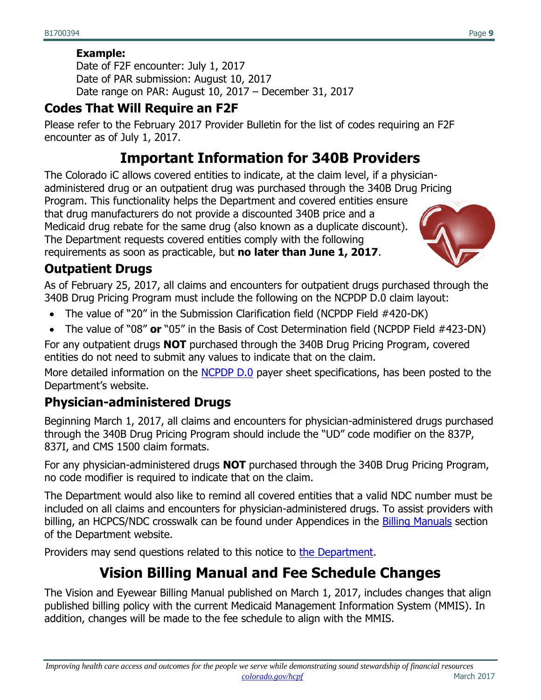#### **Example:**

Date of F2F encounter: July 1, 2017 Date of PAR submission: August 10, 2017 Date range on PAR: August 10, 2017 – December 31, 2017

#### **Codes That Will Require an F2F**

<span id="page-8-0"></span>Please refer to the February 2017 Provider Bulletin for the list of codes requiring an F2F encounter as of July 1, 2017.

# **Important Information for 340B Providers**

The Colorado iC allows covered entities to indicate, at the claim level, if a physicianadministered drug or an outpatient drug was purchased through the 340B Drug Pricing Program. This functionality helps the Department and covered entities ensure that drug manufacturers do not provide a discounted 340B price and a Medicaid drug rebate for the same drug (also known as a duplicate discount). The Department requests covered entities comply with the following requirements as soon as practicable, but **no later than June 1, 2017**.

#### **Outpatient Drugs**

As of February 25, 2017, all claims and encounters for outpatient drugs purchased through the 340B Drug Pricing Program must include the following on the NCPDP D.0 claim layout:

- The value of "20" in the Submission Clarification field (NCPDP Field #420-DK)
- The value of "08" **or** "05" in the Basis of Cost Determination field (NCPDP Field #423-DN)

For any outpatient drugs **NOT** purchased through the 340B Drug Pricing Program, covered entities do not need to submit any values to indicate that on the claim.

More detailed information on the [NCPDP D.0](https://colorado.gov/HCPF/pharmacy-benefits-management-system-pbms-transition-magellan) payer sheet specifications, has been posted to the Department's website.

# **Physician-administered Drugs**

Beginning March 1, 2017, all claims and encounters for physician-administered drugs purchased through the 340B Drug Pricing Program should include the "UD" code modifier on the 837P, 837I, and CMS 1500 claim formats.

For any physician-administered drugs **NOT** purchased through the 340B Drug Pricing Program, no code modifier is required to indicate that on the claim.

The Department would also like to remind all covered entities that a valid NDC number must be included on all claims and encounters for physician-administered drugs. To assist providers with billing, an HCPCS/NDC crosswalk can be found under Appendices in the [Billing Manuals](https://www.colorado.gov/pacific/hcpf/billing-manuals) section of the Department website.

<span id="page-8-1"></span>Providers may send questions related to this notice to [the Department.](mailto:Colorado.SMAC@state.co.us)

# **Vision Billing Manual and Fee Schedule Changes**

The Vision and Eyewear Billing Manual published on March 1, 2017, includes changes that align published billing policy with the current Medicaid Management Information System (MMIS). In addition, changes will be made to the fee schedule to align with the MMIS.

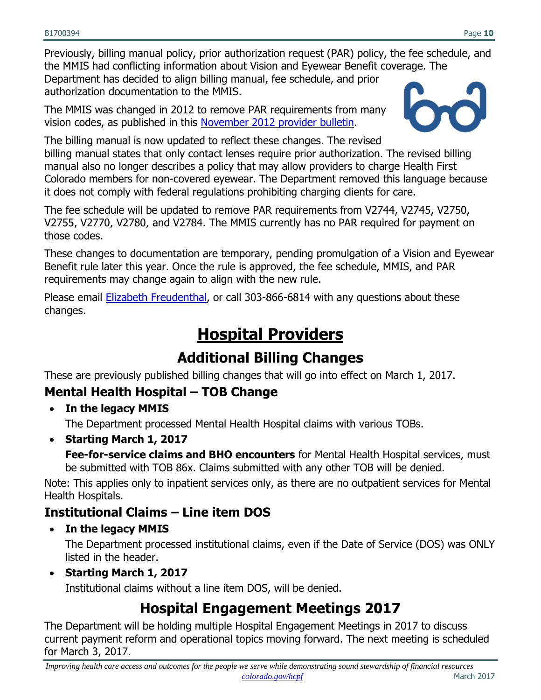Previously, billing manual policy, prior authorization request (PAR) policy, the fee schedule, and the MMIS had conflicting information about Vision and Eyewear Benefit coverage. The Department has decided to align billing manual, fee schedule, and prior authorization documentation to the MMIS.

The MMIS was changed in 2012 to remove PAR requirements from many vision codes, as published in this [November 2012 provider bulletin.](https://www.colorado.gov/pacific/sites/default/files/Bulletin_1112_B1200330_0.pdf)



The billing manual is now updated to reflect these changes. The revised billing manual states that only contact lenses require prior authorization. The revised billing manual also no longer describes a policy that may allow providers to charge Health First Colorado members for non-covered eyewear. The Department removed this language because it does not comply with federal regulations prohibiting charging clients for care.

The fee schedule will be updated to remove PAR requirements from V2744, V2745, V2750, V2755, V2770, V2780, and V2784. The MMIS currently has no PAR required for payment on those codes.

These changes to documentation are temporary, pending promulgation of a Vision and Eyewear Benefit rule later this year. Once the rule is approved, the fee schedule, MMIS, and PAR requirements may change again to align with the new rule.

<span id="page-9-0"></span>Please email [Elizabeth Freudenthal,](mailto:elizabeth.freudenthal@state.co.us) or call 303-866-6814 with any questions about these changes.

# **Hospital Providers**

# **Additional Billing Changes**

<span id="page-9-1"></span>These are previously published billing changes that will go into effect on March 1, 2017.

# **Mental Health Hospital – TOB Change**

**In the legacy MMIS**

The Department processed Mental Health Hospital claims with various TOBs.

**Starting March 1, 2017**

**Fee-for-service claims and BHO encounters** for Mental Health Hospital services, must be submitted with TOB 86x. Claims submitted with any other TOB will be denied.

Note: This applies only to inpatient services only, as there are no outpatient services for Mental Health Hospitals.

#### **Institutional Claims – Line item DOS**

**In the legacy MMIS**

The Department processed institutional claims, even if the Date of Service (DOS) was ONLY listed in the header.

**Starting March 1, 2017**

Institutional claims without a line item DOS, will be denied.

# **Hospital Engagement Meetings 2017**

<span id="page-9-2"></span>The Department will be holding multiple Hospital Engagement Meetings in 2017 to discuss current payment reform and operational topics moving forward. The next meeting is scheduled for March 3, 2017.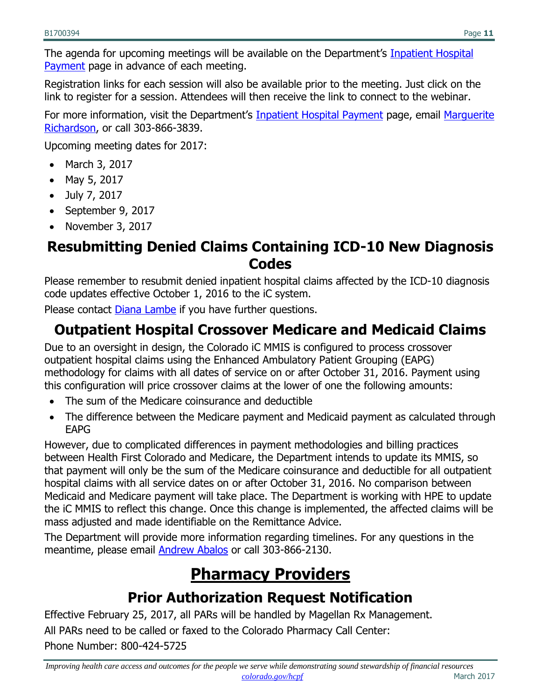The agenda for upcoming meetings will be available on the Department's Inpatient Hospital [Payment](https://www.colorado.gov/hcpf/inpatient-hospital-payment) page in advance of each meeting.

Registration links for each session will also be available prior to the meeting. Just click on the link to register for a session. Attendees will then receive the link to connect to the webinar.

For more information, visit the Department's [Inpatient Hospital Payment](https://www.colorado.gov/hcpf/inpatient-hospital-payment) page, email Marguerite [Richardson,](mailto:marguerite.richardson@state.co.us) or call 303-866-3839.

Upcoming meeting dates for 2017:

- March 3, 2017
- May 5, 2017
- July 7, 2017
- September 9, 2017
- November  $3, 2017$

#### <span id="page-10-0"></span>**Resubmitting Denied Claims Containing ICD-10 New Diagnosis Codes**

Please remember to resubmit denied inpatient hospital claims affected by the ICD-10 diagnosis code updates effective October 1, 2016 to the iC system.

Please contact **Diana Lambe** if you have further questions.

# <span id="page-10-1"></span>**Outpatient Hospital Crossover Medicare and Medicaid Claims**

Due to an oversight in design, the Colorado iC MMIS is configured to process crossover outpatient hospital claims using the Enhanced Ambulatory Patient Grouping (EAPG) methodology for claims with all dates of service on or after October 31, 2016. Payment using this configuration will price crossover claims at the lower of one the following amounts:

- The sum of the Medicare coinsurance and deductible
- The difference between the Medicare payment and Medicaid payment as calculated through EAPG

However, due to complicated differences in payment methodologies and billing practices between Health First Colorado and Medicare, the Department intends to update its MMIS, so that payment will only be the sum of the Medicare coinsurance and deductible for all outpatient hospital claims with all service dates on or after October 31, 2016. No comparison between Medicaid and Medicare payment will take place. The Department is working with HPE to update the iC MMIS to reflect this change. Once this change is implemented, the affected claims will be mass adjusted and made identifiable on the Remittance Advice.

<span id="page-10-2"></span>The Department will provide more information regarding timelines. For any questions in the meantime, please email [Andrew Abalos](mailto:andrew.abalos@state.co.us) or call 303-866-2130.

# **Pharmacy Providers**

# **Prior Authorization Request Notification**

<span id="page-10-3"></span>Effective February 25, 2017, all PARs will be handled by Magellan Rx Management. All PARs need to be called or faxed to the Colorado Pharmacy Call Center: Phone Number: 800-424-5725